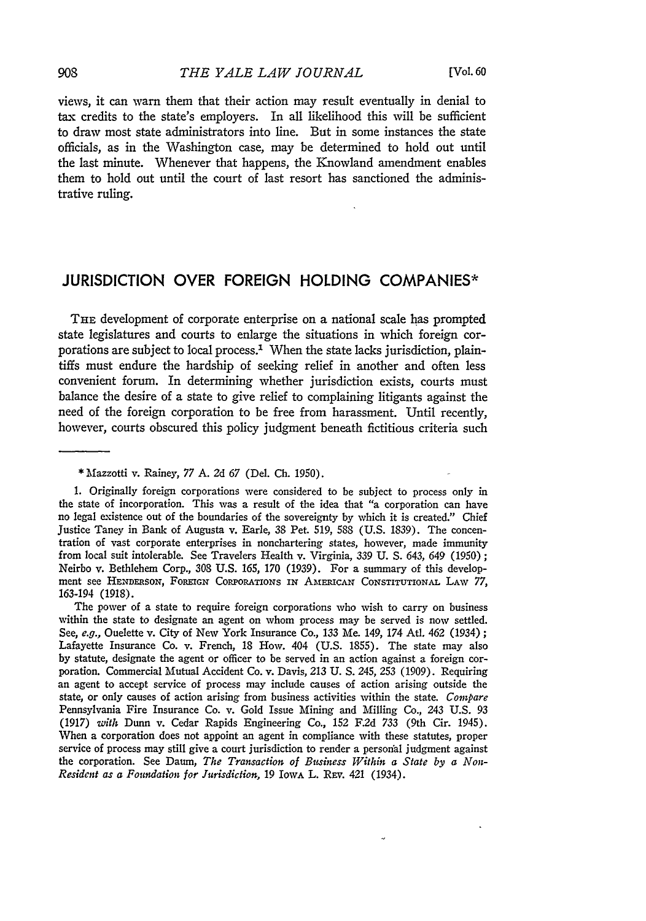views, it can warn them that their action may result eventually in denial to tax credits to the state's employers. In all likelihood this will be sufficient to draw most state administrators into line. But in some instances the state officials, as in the Washington case, may be determined to hold out until the last minute. Whenever that happens, the Knowland amendment enables them to hold out until the court of last resort has sanctioned the administrative ruling.

## **JURISDICTION** OVER **FOREIGN HOLDING COMPANIES\***

THE development of corporate enterprise on a national scale has prompted state legislatures and courts to enlarge the situations in which foreign corporations are subject to local process.' When the state lacks jurisdiction, plaintiffs must endure the hardship of seeking relief in another and often less convenient forum. In determining whether jurisdiction exists, courts must balance the desire of a state to give relief to complaining litigants against the need of the foreign corporation to be free from harassment. Until recently, however, courts obscured this policy judgment beneath fictitious criteria such

The power of a state to require foreign corporations who wish to carry on business within the state to designate an agent on whom process may be served is now settled. See, e.g., Ouelette v. City of New York Insurance Co., 133 Me. 149, 174 AtI. 462 (1934) **;** Lafayette Insurance Co. v. French, 18 How. 404 (U.S. 1855). The state may also by statute, designate the agent or officer to be served in an action against a foreign corporation. Commercial Mutual Accident Co. v. Davis, 213 U. **S.** *245, 253* (1909). Requiring an agent to accept service of process may include causes of action arising outside the state, or only causes of action arising from business activities within the state. *Compare* Pennsylvania Fire Insurance Co. v. Gold Issue Mining and Milling Co., 243 U.S. 93 (1917) *with* Dunn v. Cedar Rapids Engineering Co., 152 F.2d *733* (9th Cir. 1945). When a corporation does not appoint an agent in compliance with these statutes, proper service of process may still give a court jurisdiction to render a personal judgment against the corporation. See Daum, *The Transaction of Business Within a State by a Non-Resident as a Foundation for Jurisdiction,* 19 IowA L. REv. 421 (1934).

<sup>\*</sup> Mazzotti v. Rainey, 77 A. 2d 67 (Del. **Ch.** 1950).

**<sup>1.</sup>** Originally foreign corporations were considered to be subject to process only in the state of incorporation. This was a result of the idea that "a corporation can have no legal existence out of the boundaries of the sovereignty by which it is created." Chief justice Taney in Bank of Augusta v. Earle, 38 Pet. 519, **588** (U.S. 1839). The concentration of vast corporate enterprises in nonchartering states, however, made immunity from local suit intolerable. See Travelers Health v. Virginia, 339 U. S. 643, 649 (1950) **;** Neirbo v. Bethlehem Corp., 308 U.S. 165, 170 (1939). For a summary of this development see HENDERSON, FOREIGN CoRPoRATIoNs IN AmERICAN CoNsTiTUTIoNAL LAw *77,* 163-194 (1918).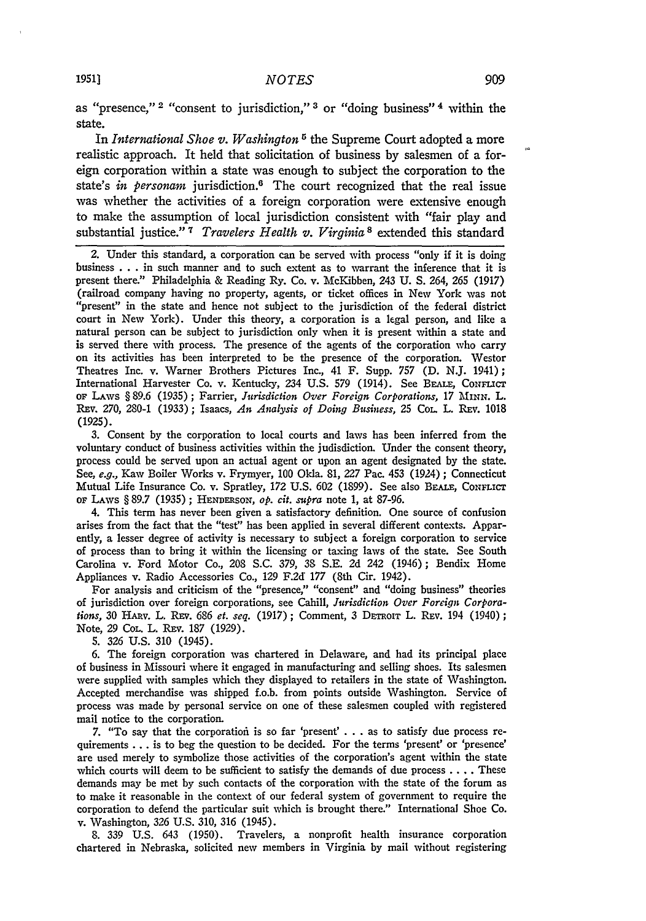as "presence," 2 "consent to jurisdiction," **3** or "doing business" 4 within the state.

In *International Shoe v. Washington*<sup>5</sup> the Supreme Court adopted a more realistic approach. It held that solicitation of business by salesmen of a foreign corporation within a state was enough to subject the corporation to the state's *in personam* jurisdiction.6 The court recognized that the real issue was whether the activities of a foreign corporation were extensive enough to make the assumption of local jurisdiction consistent with "fair play and substantial justice." **7** *Travelers Health v. Virginia <sup>8</sup>*extended this standard

2. Under this standard, a corporation can be served with process "only if it is doing business . . . in such manner and to such extent as to warrant the inference that it is present there." Philadelphia & Reading Ry. Co. v. McKibben, 243 U. **S.** 264, 265 (1917) (railroad company having no property, agents, or ticket offices in New York was not "present" in the state and hence not subject to the jurisdiction of the federal district court in New York). Under this theory, a corporation is a legal person, and like a natural person can be subject to jurisdiction only when it is present within a state and is served there with process. The presence of the agents of the corporation who carry on its activities has been interpreted to be the presence of the corporation. Westor Theatres Inc. v. Warner Brothers Pictures Inc., 41 F. Supp. 757 (D. N.J. 1941); International Harvester Co. v. Kentucky, 234 U.S. 579 (1914). See BEaLE, **CONFLICT OF** LAWs § 89.6 (1935); Farrier, *Jurisdiction Over Foreign Corporations, 17 MINN.* L. Rav. 270, 280-1 (1933); Isaacs, *An Analysis of Doing Business,* 25 COL. L. REv. 1018 (1925).

3. Consent by the corporation to local courts and laws has been inferred from the voluntary conduct of business activities within the judisdiction. Under the consent theory, process could be served upon an actual agent or upon an agent designated by the state. See, *e.g.,* Kaw Boiler Works v. Frymyer, **100** Okla. **81,** 227 Pac. 453 (1924) ; Connecticut Mutual Life Insurance Co. v. Spratley, 172 U.S. **602** (1899). See also **BEALE,** CONFLICT OF LAWS § 89.7 (1935) ; **HENDERSON,** *op. cit. supra* note **1,** at 87-96.

4. This term has never been given a satisfactory definition. One source of confusion arises from the fact that the "test" has been applied in several different contexts. Apparently, a lesser degree of activity is necessary to subject a foreign corporation to service of process than to bring it within the licensing or taxing laws of the state. See South Carolina v. Ford Motor Co., 208 S.C. 379, **38** S.E. 2d 242 (1946); Bendix Home Appliances v. Radio Accessories Co., **129** F.2d **177** (8th Cir. 1942).

For analysis and criticism of the "presence," "consent" and "doing business" theories of jurisdiction over foreign corporations, see Cahill, *Jurisdiction Over Foreign Corporations*, 30 HARV. L. REV. 686 *et. seq.* (1917); Comment, 3 DETROIT L. REV. 194 (1940); Note, **29 COL.** L. REv. **187** (1929).

**5. 326 U.S. 310** (1945).

**6.** The foreign corporation was chartered in Delaware, and had its principal place of business in Missouri where it engaged in manufacturing and selling shoes. Its salesmen were supplied with samples which they displayed to retailers in the state of Washington. Accepted merchandise was shipped f.o.b. from points outside Washington. Service of process was made **by** personal service on one of these salesmen coupled with registered mail notice to the corporation.

**7.** "To say that the corporatiofi is so far 'present' **. . .** as to satisfy due process requirements **...** is to beg the question to be decided. For the terms 'present' or 'presence' are used merely to symbolize those activities of the corporation's agent within the state which courts will deem to be sufficient to satisfy the demands of due process  $\dots$ . These demands may be met **by** such contacts of the corporation with the state of the forum as to make it reasonable in the context of our federal system of government to require the corporation to defend the particular suit which is brought there." International Shoe Co. v. Washington, **326 U.S. 310, 316** (1945).

**8. 339 U.S.** 643 **(1950).** Travelers, a nonprofit health insurance corporation chartered in Nebraska, solicited new members in Virginia **by** mail without registering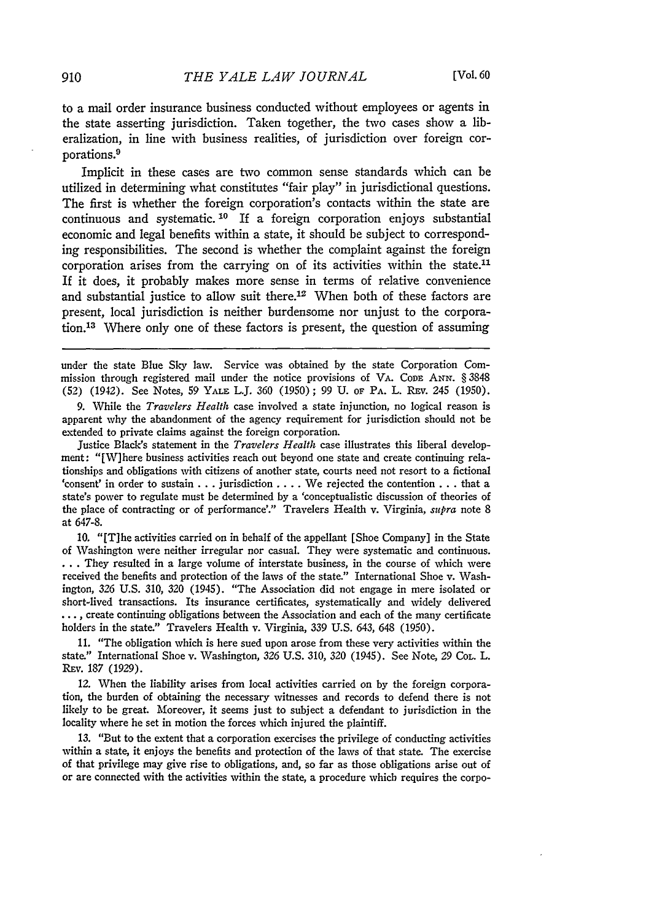to a mail order insurance business conducted without employees or agents in the state asserting jurisdiction. Taken together, the two cases show a liberalization, in line with business realities, of jurisdiction over foreign corporations. <sup>9</sup>

Implicit in these cases are two common sense standards which can be utilized in determining what constitutes "fair play" in jurisdictional questions. The first is whether the foreign corporation's contacts within the state are continuous and systematic. **'0** If a foreign corporation enjoys substantial economic and legal benefits within a state, it should be subject to corresponding responsibilities. The second is whether the complaint against the foreign corporation arises from the carrying on of its activities within the state.<sup>11</sup> If it does, it probably makes more sense in terms of relative convenience and substantial justice to allow suit there. $12$  When both of these factors are present, local jurisdiction is neither burdensome nor unjust to the corporation.13 Where only one of these factors is present, the question of assuming

under the state Blue Sky law. Service was obtained by the state Corporation Commission through registered mail under the notice provisions of VA. **CODE** *AN1.* § 3848 (52) (1942). See Notes, 59 YALE L.J. 360 (1950); 99 U. of PA. L. REV. 245 (1950).

9. While the *Travelers Health* case involved a state injunction, no logical reason is apparent why the abandonment of the agency requirement for jurisdiction should not be extended to private claims against the foreign corporation.

Justice Black's statement in the *Travelers Health* case illustrates this liberal development: "[W]here business activities reach out beyond one state and create continuing relationships and obligations with citizens of another state, courts need not resort to a fictional 'consent' in order to sustain ... jurisdiction .... We rejected the contention .. .that a state's power to regulate must be determined by a 'conceptualistic discussion of theories of the place of contracting or of performance'." Travelers Health v. Virginia, *supra* note 8 at 647-8.

10. "[T]he activities carried on in behalf of the appellant [Shoe Company] in the State of Washington were neither irregular nor casual. They were systematic and continuous. **\*** . . They resulted in a large volume of interstate business, in the course of which were received the benefits and protection of the laws of the state." International Shoe v. Washington, 326 U.S. 310, 320 (1945). "The Association did not engage in mere isolated or short-lived transactions. Its insurance certificates, systematically and widely delivered **... ,** create continuing obligations between the Association and each of the many certificate holders in the state." Travelers Health v. Virginia, 339 U.S. 643, 648 (1950).

11. "The obligation which is here sued upon arose from these very activities within the state." International Shoe v. Washington, 326 U.S. 310, 320 (1945). See Note, 29 COL. L. **REv.** 187 (1929).

12. When the liability arises from local activities carried on by the foreign corporation, the burden of obtaining the necessary witnesses and records to defend there is not likely to be great. Moreover, it seems just to subject a defendant to jurisdiction in the locality where he set in motion the forces which injured the plaintiff.

13. "But to the extent that a corporation exercises the privilege of conducting activities within a state, it enjoys the benefits and protection of the laws of that state. The exercise of that privilege may give rise to obligations, and, so far as those obligations arise out of or are connected with the activities within the state, a procedure which requires the corpo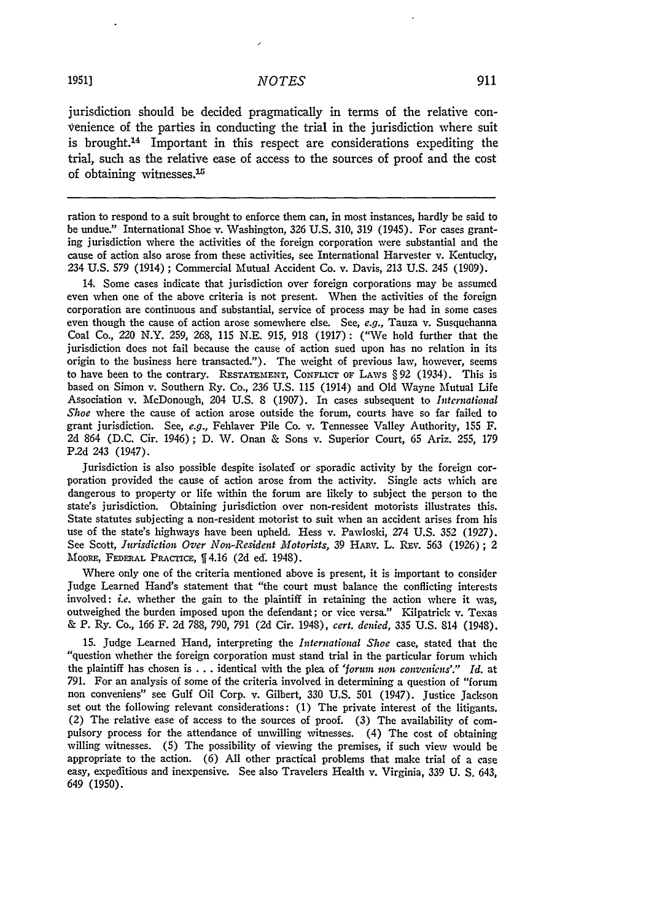jurisdiction should be decided pragmatically in terms of the relative convenience of the parties in conducting the trial in the jurisdiction where suit is brought.14 Important in this respect are considerations expediting the trial, such as the relative ease of access to the sources of proof and the cost of obtaining witnesses. $15$ 

ration to respond to a suit brought to enforce them can, in most instances, hardly be said to be undue." International Shoe v. Washington, 326 U.S. 310, 319 (1945). For cases granting jurisdiction where the activities of the foreign corporation were substantial and the cause of action also arose from these activities, see International Harvester v. Kentucky, 234 U.S. 579 (1914) ; Commercial Mutual Accident Co. v. Davis, 213 U.S. 245 (1909).

14. Some cases indicate that jurisdiction over foreign corporations may be assumed even when one of the above criteria is not present. When the activities of the foreign corporation are continuous and substantial, service of process may be had in some cases even though the cause of action arose somewhere else. See, *e.g.,* Tauza v. Susquehanna Coal Co., 220 N.Y. 259, 268, 115 N.E. 915, 918 (1917): ("We hold further that the jurisdiction does not fail because the cause of action sued upon has no relation in its origin to the business here transacted."). The weight of previous law, however, seems to have been to the contrary. **RESTATEImET,** CONFLICT oF LAWs § 92 (1934). This is based on Simon v. Southern Ry. Co., 236 U.S. 115 (1914) and Old Wayne Mutual Life Association v. McDonough, 204 U.S. 8 **(1907).** In cases subsequent to *International Shoe* where the cause of action arose outside the forum, courts have so far failed to grant jurisdiction. See, *e.g.,* Fehlaver Pile Co. v. Tennessee Valley Authority, 155 F. 2d 864 (D.C. Cir. 1946); D. W. Onan & Sons v. Superior Court, 65 Ariz. 255, 179 P.2d 243 (1947).

Jurisdiction is also possible despite isolated or sporadic activity by the foreign corporation provided the cause of action arose from the activity. Single acts which are dangerous to property or life within the forum are likely to subject the person to the state's jurisdiction. Obtaining jurisdiction over non-resident motorists illustrates this. State statutes subjecting a non-resident motorist to suit when an accident arises from his use of the state's highways have been upheld. Hess v. Pawloski, 274 U.S. 352 (1927). See Scott, *Jurisdiction Over Non-Resident Motorists*, 39 HARV. L. REV. 563 (1926) ; 2 **MoRE, FEDERAL** PRACTICE, **f** 4.16 (2d ed. 1948).

Where only one of the criteria mentioned above is present, it is important to consider Judge Learned Hand's statement that "the court must balance the conflicting interests involved: *i.e.* whether the gain to the plaintiff in retaining the action where it was, outweighed the burden imposed upon the defendant; or vice versa." Kilpatrick v. Texas & P. Ry. Co., 166 F. 2d 788, 790, 791 (2d Cir. 1948), *cert. denied,* 335 U.S. 814 (1948).

15. Judge Learned Hand, interpreting the *International Shoe* case, stated that the "question whether the foreign corporation must stand trial in the particular forum which the plaintiff has chosen is .. .identical with the plea of *'forum non conveniens'." Id.* at 791. For an analysis of some of the criteria involved in determining a question of "forum non conveniens" see Gulf Oil Corp. v. Gilbert, 330 U.S. 501 (1947). Justice Jackson set out the following relevant considerations: (1) The private interest of the litigants. (2) The relative ease of access to the sources of proof. (3) The availability of compulsory process for the attendance of unwilling witnesses. (4) The cost of obtaining willing witnesses. (5) The possibility of viewing the premises, if such view would be appropriate to the action. (6) All other practical problems that make trial of a case easy, expeditious and inexpensive. See also Travelers Health v. Virginia, 339 U. S. 643, 649 (1950).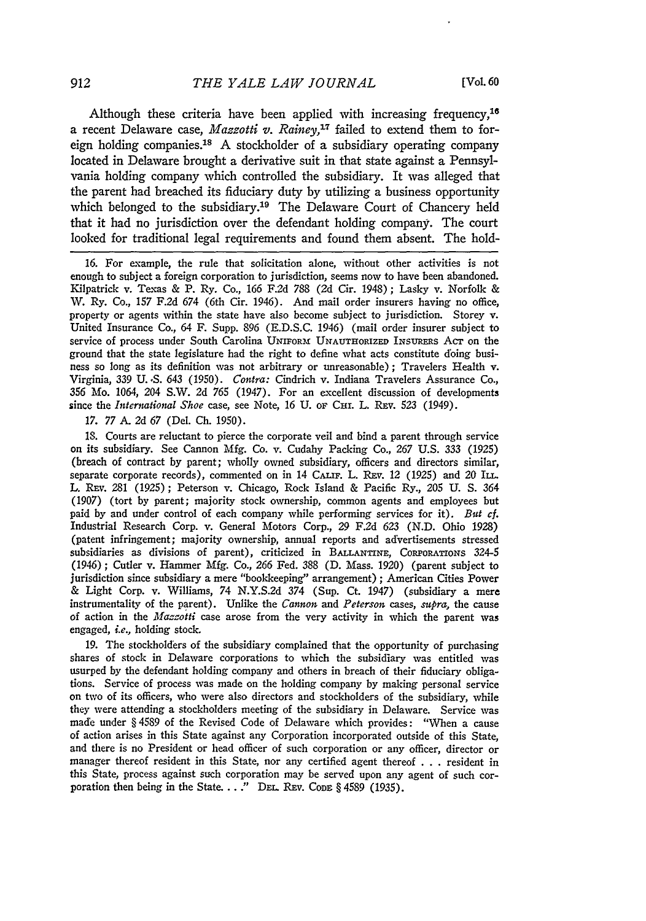Although these criteria have been applied with increasing frequency,<sup>16</sup> a recent Delaware case, *Mazzotti v. Rainey,17* failed to extend them to foreign holding companies.<sup>18</sup> A stockholder of a subsidiary operating company located in Delaware brought a derivative suit in that state against a Pennsylvania holding company which controlled the subsidiary. It was alleged that the parent had breached its fiduciary duty by utilizing a business opportunity which belonged to the subsidiary.<sup>19</sup> The Delaware Court of Chancery held that it had no jurisdiction over the defendant holding company. The court looked for traditional legal requirements and found them absent. The hold-

17. *77* A. 2d 67 (Del. Ch. 1950).

18. Courts are reluctant to pierce the corporate veil and bind a parent through service on its subsidiary. See Cannon Mfg. Co. v. Cudahy Packing Co., 267 U.S. 333 (1925) (breach of contract by parent; wholly owned subsidiary, officers and directors similar, separate corporate records), commented on in 14 CALIF. L. REv. 12 (1925) and 20 *1I.* L. REv. 281 (1925); Peterson v. Chicago, Rock Island & Pacific Ry., 205 U. **S.** 364 (1907) (tort by parent; majority stock ownership, common agents and employees but paid by and under control of each company while performing services for it). *But cf.* Industrial Research Corp. v. General Motors Corp., 29 F.2d 623 (N.D. Ohio 1928) (patent infringement; majority ownership, annual reports and advertisements stressed subsidiaries as divisions of parent), criticized in BALLANTINE, CORPORATIONS 324-5 (1946); Cutler v. Hammer Mfg. Co., 266 Fed. 388 (D. Mass. 1920) (parent subject to jurisdiction since subsidiary a mere "bookkeeping" arrangement) ; American Cities Power & Light Corp. v. Williams, 74 N.Y.S.2d 374 (Sup. Ct. 1947) (subsidiary a mere instrumentality of the parent). Unlike the *Cannon and Peterson* cases, *supra,* the cause of action in the *Alazzotti* case arose from the very activity in which the parent was engaged, *i.e.,* holding stock.

19. The stockholders of the subsidiary complained that the opportunity of purchasing shares of stock in Delaware corporations to which the subsidiary was entitled was usurped by the defendant holding company and others in breach of their fiduciary obligations. Service of process was made on the holding company by making personal service on two of its officers, who were also directors and stockholders of the subsidiary, while they were attending a stockholders meeting of the subsidiary in Delaware. Service was made under § 4589 of the Revised Code of Delaware which provides: "When a cause of action arises in this State against any Corporation incorporated outside of this State, and there is no President or head officer of such corporation or any officer, director or manager thereof resident in this State, nor any certified agent thereof . .. resident in this State, process against such corporation may be served upon any agent of such corporation then being in the State. . . ." DEL REV. Cone § 4589 (1935).

<sup>16.</sup> For example, the rule that solicitation alone, without other activities is not enough to subject a foreign corporation to jurisdiction, seems now to have been abandoned. Kilpatrick v. Texas & P. Ry. Co., 166 F.2d 788 (2d Cir. 1948); Lasky v. Norfolk & V. Ry. Co., 157 F.2d 674 (6th Cir. 1946). And mail order insurers having no office, property or agents within the state have also become subject to jurisdiction. Storey v. United Insurance Co., 64 F. Supp. 896 (E.D.S.C. 1946) (mail order insurer subject to service of process under South Carolina UNIFORM UNAUTHORIZED INSURERS ACT on the ground that the state legislature had the right to define what acts constitute doing business so long as its definition was not arbitrary or unreasonable); Travelers Health v. Virginia, 339 U. S. 643 (1950). *Contra:* Cindrich v. Indiana Travelers Assurance Co., 356 Mo. 1064, 204 S.W. 2d 765 (1947). For an excellent discussion of developments since the *International Shoe* case, see Note, 16 U. or CHI. L. REV. 523 (1949).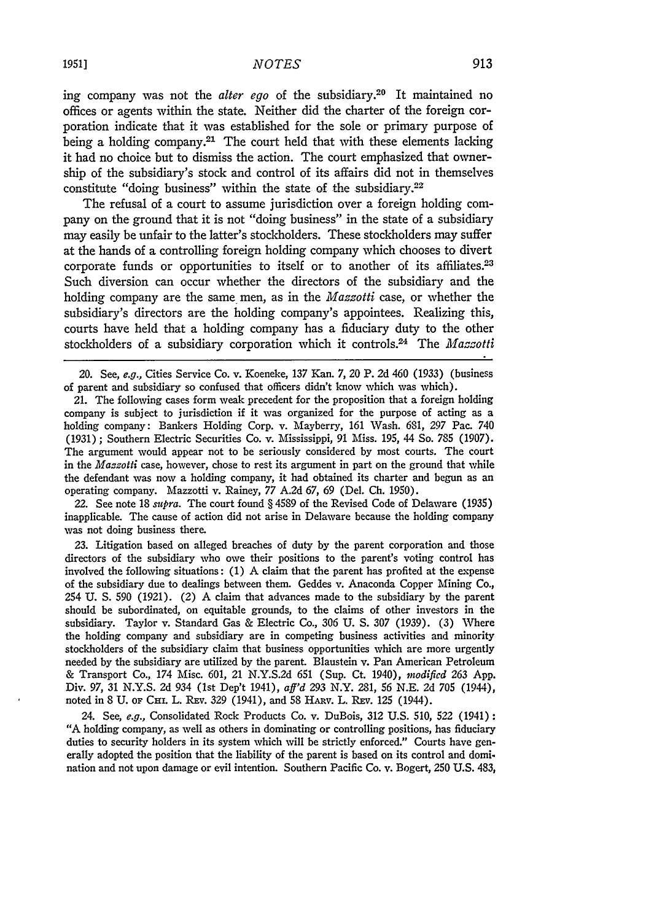ing company was not the *alter ego* of the subsidiary.<sup>20</sup> It maintained no offices or agents within the state. Neither did the charter of the foreign corporation indicate that it was established for the sole or primary purpose of being a holding company.<sup>21</sup> The court held that with these elements lacking it had no choice but to dismiss the action. The court emphasized that ownership of the subsidiary's stock and control of its affairs did not in themselves constitute "doing business" within the state of the subsidiary.<sup>22</sup>

The refusal of a court to assume jurisdiction over a foreign holding company on the ground that it is not "doing business" in the state of a subsidiary may easily be unfair to the latter's stockholders. These stockholders may suffer at the hands of a controlling foreign holding company which chooses to divert corporate funds or opportunities to itself or to another of its affiliates.<sup>23</sup> Such diversion can occur whether the directors of the subsidiary and the holding company are the same men, as in the *Mazzotti* case, or whether the subsidiary's directors are the holding company's appointees. Realizing this, courts have held that a holding company has a fiduciary duty to the other stockholders of a subsidiary corporation which it controls.<sup>24</sup> The Mazzotti

22. See note 18 *supra.* The court found § 4589 of the Revised Code of Delaware (1935) inapplicable. The cause of action did not arise in Delaware because the holding company was not doing business there.

23. Litigation based on alleged breaches of duty by the parent corporation and those directors of the subsidiary who owe their positions to the parent's voting control has involved the following situations: (1) **A** claim that the parent has profited at the expense of the subsidiary due to dealings between them. Geddes v. Anaconda Copper Mining Co., 254 U. **S.** 590 (1921). (2) A claim that advances made to the subsidiary by the parent should be subordinated, on equitable grounds, to the claims of other investors in the subsidiary. Taylor v. Standard Gas & Electric Co., 306 U. **S.** 307 (1939). (3) Where the holding company and subsidiary are in competing business activities and minority stockholders of the subsidiary claim that business opportunities which are more urgently needed by the subsidiary are utilized by the parent. Blaustein v. Pan American Petroleum & Transport Co., 174 Misc. 601, 21 N.Y.S.2d 651 (Sup. Ct. 1940), *modified 263* App. Div. 97, 31 N.Y.S. 2d 934 (1st Dep't 1941), *aff'd* 293 N.Y. 281, 56 N.E. 2d 705 (1944), noted in 8 U. or CHI. L. REv. 329 (1941), and 58 HARV. L. REV. 125 (1944).

24. See, *e.g.,* Consolidated Rock Products Co. v. DuBois, 312 U.S. 510, 522 (1941): "A holding company, as well as others in dominating or controlling positions, has fiduciary duties to security holders in its system which will be strictly enforced." Courts have generally adopted the position that the liability of the parent is based on its control and domination and not upon damage or evil intention. Southern Pacific Co. v. Bogert, 250 U.S. 483,

<sup>20.</sup> See, e.g., Cities Service Co. v. Koeneke, 137 Kan. *7,* 20 P. 2d 460 (1933) (business of parent and subsidiary so confused that officers didn't know which was which).

<sup>21.</sup> The following cases form weak precedent for the proposition that a foreign holding company is subject to jurisdiction if it was organized for the purpose of acting as a holding company: Bankers Holding Corp. v. Mayberry, 161 Wash. 681, *297* Pac. 740 (1931) ; Southern Electric Securities Co. v. Mississippi, 91 Miss. 195, 44 So. 785 (1907). The argument would appear not to be seriously considered by most courts. The court in the *Maszotti* case, however, chose to rest its argument in part on the ground that while the defendant was now a holding company, it had obtained its charter and begun as an operating company. Mazzotti v. Rainey, 77 A.2d 67, 69 (Del. Ch. 1950).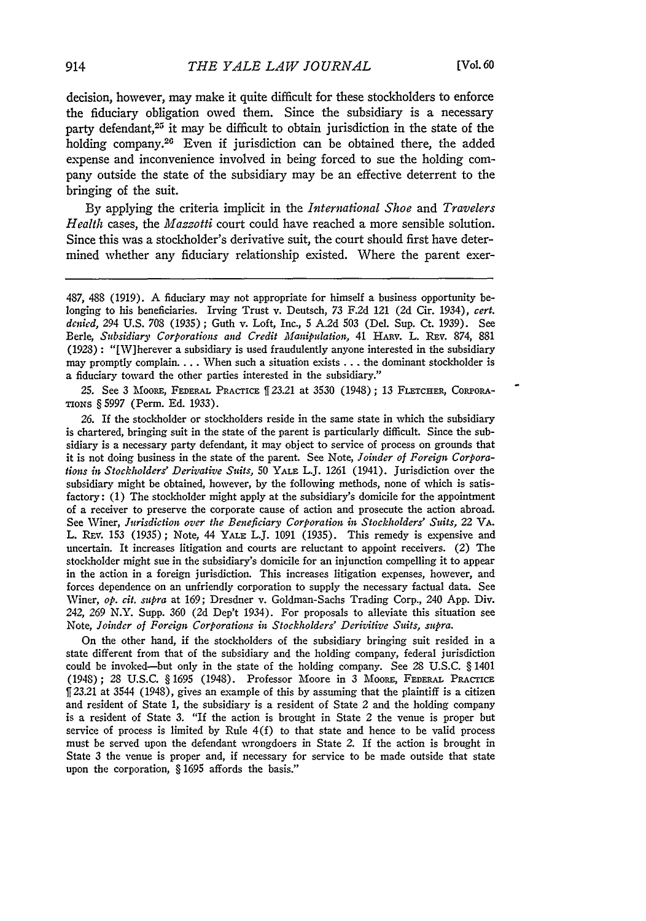decision, however, may make it quite difficult for these stockholders to enforce the fiduciary obligation owed them. Since the subsidiary is a necessary party defendant,<sup>25</sup> it may be difficult to obtain jurisdiction in the state of the holding company.<sup>26</sup> Even if jurisdiction can be obtained there, the added expense and inconvenience involved in being forced to sue the holding company outside the state of the subsidiary may be an effective deterrent to the bringing of the suit.

**By** applying the criteria implicit in the *International Shoe* and *Travelers Health* cases, the *Mazzotti* court could have reached a more sensible solution. Since this was a stockholder's derivative suit, the court should first have determined whether any fiduciary relationship existed. Where the parent exer-

**25.** See 3 MooRE, **FEDERAL** PRACTICE 1123.21 at 3530 (1948); 13 FLETCHER, CORPORA-**TIONS** § 5997 (Perm. Ed. 1933).

26. If the stockholder or stockholders reside in the same state in which the subsidiary is chartered, bringing suit in the state of the parent is particularly difficult. Since the subsidiary is a necessary party defendant, it may object to service of process on grounds that it is not doing business in the state of the parent. See Note, *Joinder of Foreign Corporations in Stockholders' Derivative Suits,* 50 YALE L.J. 1261 (1941). Jurisdiction over the subsidiary might be obtained, however, by the following methods, none of which is satisfactory: (1) The stockholder might apply at the subsidiary's domicile for the appointment of a receiver to preserve the corporate cause of action and prosecute the action abroad. See Winer, *Jurisdiction over the Beneficiary Corporation in Stockholders' Suits,* 22 VA. L. REv. 153 (1935); Note, 44 YALE L.J. 1091 (1935). This remedy is expensive and uncertain. It increases litigation and courts are reluctant to appoint receivers. (2) The stockholder might sue in the subsidiary's domicile for an injunction compelling it to appear in the action in a foreign jurisdiction. This increases litigation expenses, however, and forces dependence on an unfriendly corporation to supply the necessary factual data. See Winer, *op. cit. supra* at 169; Dresdner v. Goldman-Sachs Trading Corp., 240 App. Div. *242, 269* N.Y. Supp. 360 (2d Dep't 1934). For proposals to alleviate this situation see Note, *Joinder of Foreign Corporations in Stockholders' Derivitive Suits, supra.*

On the other hand, if the stockholders of the subsidiary bringing suit resided in a state different from that of the subsidiary and the holding company, federal jurisdiction could be invoked-but only in the state of the holding company. See 28 **U.S.C.** § 1401 (1948); 28 **U.S.C.** § 1695 (1948). Professor Moore in 3 MooRa, **FEDERAL** PRACTICE 1123.21 at 3544 (1948), gives an example of this by assuming that the plaintiff is a citizen and resident of State 1, the subsidiary is a resident of State *2* and the holding company is a resident of State 3. "If the action is brought in State 2 the venue is proper but service of process is limited by Rule 4(f) to that state and hence to be valid process must be served upon the defendant wrongdoers in State 2. If the action is brought in State 3 the venue is proper and, if necessary for service to be made outside that state upon the corporation, § 1695 affords the basis."

<sup>487, 488 (1919).</sup> A fiduciary may not appropriate for himself a business opportunity belonging to his beneficiaries. Irving Trust v. Deutsch, 73 F.2d 121 (2d Cir. 1934), cert. *denied,* 294 **U.S. 708** (1935) ; Guth v. Loft, Inc., 5 A2d 503 (Del. Sup. Ct. 1939). See Berle, *Subsidiary Corporations and Credit Manipulation,* 41 HAgv. L. **REv.** 874, 881 (1928): "[W]herever a subsidiary is used fraudulently anyone interested in the subsidiary may promptly complain.... When such a situation exists **...** the dominant stockholder is a fiduciary toward the other parties interested in the subsidiary."